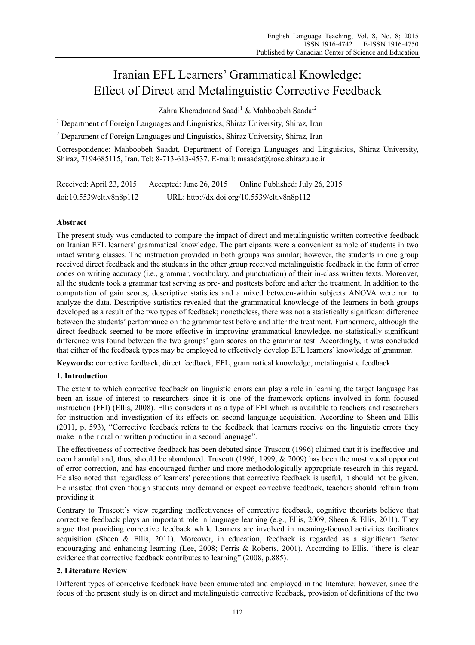# Iranian EFL Learners' Grammatical Knowledge: Effect of Direct and Metalinguistic Corrective Feedback

Zahra Kheradmand Saadi<sup>1</sup> & Mahboobeh Saadat<sup>2</sup>

<sup>1</sup> Department of Foreign Languages and Linguistics, Shiraz University, Shiraz, Iran

 $2^{2}$  Department of Foreign Languages and Linguistics, Shiraz University, Shiraz, Iran

Correspondence: Mahboobeh Saadat, Department of Foreign Languages and Linguistics, Shiraz University, Shiraz, 7194685115, Iran. Tel: 8-713-613-4537. E-mail: msaadat@rose.shirazu.ac.ir

| Received: April 23, 2015 | Accepted: June 26, 2015 | Online Published: July 26, 2015             |
|--------------------------|-------------------------|---------------------------------------------|
| doi:10.5539/elt.v8n8p112 |                         | URL: http://dx.doi.org/10.5539/elt.v8n8p112 |

# **Abstract**

The present study was conducted to compare the impact of direct and metalinguistic written corrective feedback on Iranian EFL learners' grammatical knowledge. The participants were a convenient sample of students in two intact writing classes. The instruction provided in both groups was similar; however, the students in one group received direct feedback and the students in the other group received metalinguistic feedback in the form of error codes on writing accuracy (i.e., grammar, vocabulary, and punctuation) of their in-class written texts. Moreover, all the students took a grammar test serving as pre- and posttests before and after the treatment. In addition to the computation of gain scores, descriptive statistics and a mixed between-within subjects ANOVA were run to analyze the data. Descriptive statistics revealed that the grammatical knowledge of the learners in both groups developed as a result of the two types of feedback; nonetheless, there was not a statistically significant difference between the students' performance on the grammar test before and after the treatment. Furthermore, although the direct feedback seemed to be more effective in improving grammatical knowledge, no statistically significant difference was found between the two groups' gain scores on the grammar test. Accordingly, it was concluded that either of the feedback types may be employed to effectively develop EFL learners' knowledge of grammar.

**Keywords:** corrective feedback, direct feedback, EFL, grammatical knowledge, metalinguistic feedback

## **1. Introduction**

The extent to which corrective feedback on linguistic errors can play a role in learning the target language has been an issue of interest to researchers since it is one of the framework options involved in form focused instruction (FFI) (Ellis, 2008). Ellis considers it as a type of FFI which is available to teachers and researchers for instruction and investigation of its effects on second language acquisition. According to Sheen and Ellis (2011, p. 593), "Corrective feedback refers to the feedback that learners receive on the linguistic errors they make in their oral or written production in a second language".

The effectiveness of corrective feedback has been debated since Truscott (1996) claimed that it is ineffective and even harmful and, thus, should be abandoned. Truscott (1996, 1999, & 2009) has been the most vocal opponent of error correction, and has encouraged further and more methodologically appropriate research in this regard. He also noted that regardless of learners' perceptions that corrective feedback is useful, it should not be given. He insisted that even though students may demand or expect corrective feedback, teachers should refrain from providing it.

Contrary to Truscott's view regarding ineffectiveness of corrective feedback, cognitive theorists believe that corrective feedback plays an important role in language learning (e.g., Ellis, 2009; Sheen & Ellis, 2011). They argue that providing corrective feedback while learners are involved in meaning-focused activities facilitates acquisition (Sheen & Ellis, 2011). Moreover, in education, feedback is regarded as a significant factor encouraging and enhancing learning (Lee, 2008; Ferris & Roberts, 2001). According to Ellis, "there is clear evidence that corrective feedback contributes to learning" (2008, p.885).

# **2. Literature Review**

Different types of corrective feedback have been enumerated and employed in the literature; however, since the focus of the present study is on direct and metalinguistic corrective feedback, provision of definitions of the two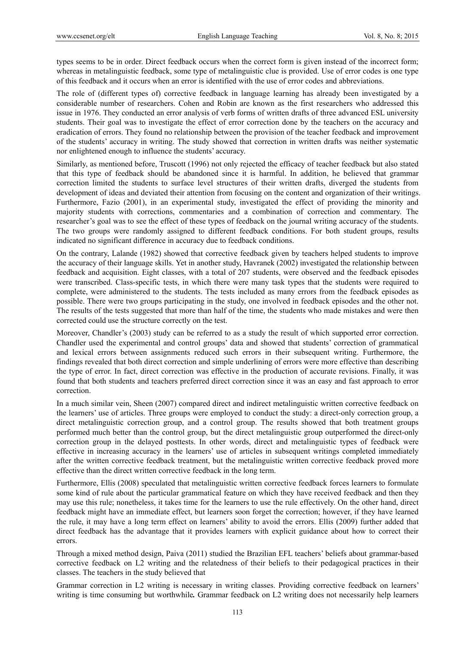types seems to be in order. Direct feedback occurs when the correct form is given instead of the incorrect form; whereas in metalinguistic feedback, some type of metalinguistic clue is provided. Use of error codes is one type of this feedback and it occurs when an error is identified with the use of error codes and abbreviations.

The role of (different types of) corrective feedback in language learning has already been investigated by a considerable number of researchers. Cohen and Robin are known as the first researchers who addressed this issue in 1976. They conducted an error analysis of verb forms of written drafts of three advanced ESL university students. Their goal was to investigate the effect of error correction done by the teachers on the accuracy and eradication of errors. They found no relationship between the provision of the teacher feedback and improvement of the students' accuracy in writing. The study showed that correction in written drafts was neither systematic nor enlightened enough to influence the students' accuracy.

Similarly, as mentioned before, Truscott (1996) not only rejected the efficacy of teacher feedback but also stated that this type of feedback should be abandoned since it is harmful. In addition, he believed that grammar correction limited the students to surface level structures of their written drafts, diverged the students from development of ideas and deviated their attention from focusing on the content and organization of their writings. Furthermore, Fazio (2001), in an experimental study, investigated the effect of providing the minority and majority students with corrections, commentaries and a combination of correction and commentary. The researcher's goal was to see the effect of these types of feedback on the journal writing accuracy of the students. The two groups were randomly assigned to different feedback conditions. For both student groups, results indicated no significant difference in accuracy due to feedback conditions.

On the contrary, Lalande (1982) showed that corrective feedback given by teachers helped students to improve the accuracy of their language skills. Yet in another study, Havranek (2002) investigated the relationship between feedback and acquisition. Eight classes, with a total of 207 students, were observed and the feedback episodes were transcribed. Class-specific tests, in which there were many task types that the students were required to complete, were administered to the students. The tests included as many errors from the feedback episodes as possible. There were two groups participating in the study, one involved in feedback episodes and the other not. The results of the tests suggested that more than half of the time, the students who made mistakes and were then corrected could use the structure correctly on the test.

Moreover, Chandler's (2003) study can be referred to as a study the result of which supported error correction. Chandler used the experimental and control groups' data and showed that students' correction of grammatical and lexical errors between assignments reduced such errors in their subsequent writing. Furthermore, the findings revealed that both direct correction and simple underlining of errors were more effective than describing the type of error. In fact, direct correction was effective in the production of accurate revisions. Finally, it was found that both students and teachers preferred direct correction since it was an easy and fast approach to error correction.

In a much similar vein, Sheen (2007) compared direct and indirect metalinguistic written corrective feedback on the learners' use of articles. Three groups were employed to conduct the study: a direct-only correction group, a direct metalinguistic correction group, and a control group. The results showed that both treatment groups performed much better than the control group, but the direct metalinguistic group outperformed the direct-only correction group in the delayed posttests. In other words, direct and metalinguistic types of feedback were effective in increasing accuracy in the learners' use of articles in subsequent writings completed immediately after the written corrective feedback treatment, but the metalinguistic written corrective feedback proved more effective than the direct written corrective feedback in the long term.

Furthermore, Ellis (2008) speculated that metalinguistic written corrective feedback forces learners to formulate some kind of rule about the particular grammatical feature on which they have received feedback and then they may use this rule; nonetheless, it takes time for the learners to use the rule effectively. On the other hand, direct feedback might have an immediate effect, but learners soon forget the correction; however, if they have learned the rule, it may have a long term effect on learners' ability to avoid the errors. Ellis (2009) further added that direct feedback has the advantage that it provides learners with explicit guidance about how to correct their errors.

Through a mixed method design, Paiva (2011) studied the Brazilian EFL teachers' beliefs about grammar-based corrective feedback on L2 writing and the relatedness of their beliefs to their pedagogical practices in their classes. The teachers in the study believed that

Grammar correction in L2 writing is necessary in writing classes. Providing corrective feedback on learners' writing is time consuming but worthwhile*.* Grammar feedback on L2 writing does not necessarily help learners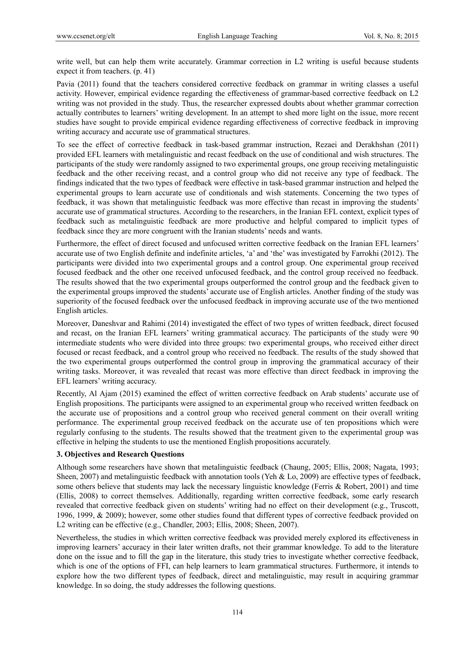write well, but can help them write accurately. Grammar correction in L2 writing is useful because students expect it from teachers. (p. 41)

Pavia (2011) found that the teachers considered corrective feedback on grammar in writing classes a useful activity. However, empirical evidence regarding the effectiveness of grammar-based corrective feedback on L2 writing was not provided in the study. Thus, the researcher expressed doubts about whether grammar correction actually contributes to learners' writing development. In an attempt to shed more light on the issue, more recent studies have sought to provide empirical evidence regarding effectiveness of corrective feedback in improving writing accuracy and accurate use of grammatical structures.

To see the effect of corrective feedback in task-based grammar instruction, Rezaei and Derakhshan (2011) provided EFL learners with metalinguistic and recast feedback on the use of conditional and wish structures. The participants of the study were randomly assigned to two experimental groups, one group receiving metalinguistic feedback and the other receiving recast, and a control group who did not receive any type of feedback. The findings indicated that the two types of feedback were effective in task-based grammar instruction and helped the experimental groups to learn accurate use of conditionals and wish statements. Concerning the two types of feedback, it was shown that metalinguistic feedback was more effective than recast in improving the students' accurate use of grammatical structures. According to the researchers, in the Iranian EFL context, explicit types of feedback such as metalinguistic feedback are more productive and helpful compared to implicit types of feedback since they are more congruent with the Iranian students' needs and wants.

Furthermore, the effect of direct focused and unfocused written corrective feedback on the Iranian EFL learners' accurate use of two English definite and indefinite articles, 'a' and 'the' was investigated by Farrokhi (2012). The participants were divided into two experimental groups and a control group. One experimental group received focused feedback and the other one received unfocused feedback, and the control group received no feedback. The results showed that the two experimental groups outperformed the control group and the feedback given to the experimental groups improved the students' accurate use of English articles. Another finding of the study was superiority of the focused feedback over the unfocused feedback in improving accurate use of the two mentioned English articles.

Moreover, Daneshvar and Rahimi (2014) investigated the effect of two types of written feedback, direct focused and recast, on the Iranian EFL learners' writing grammatical accuracy. The participants of the study were 90 intermediate students who were divided into three groups: two experimental groups, who received either direct focused or recast feedback, and a control group who received no feedback. The results of the study showed that the two experimental groups outperformed the control group in improving the grammatical accuracy of their writing tasks. Moreover, it was revealed that recast was more effective than direct feedback in improving the EFL learners' writing accuracy.

Recently, Al Ajam (2015) examined the effect of written corrective feedback on Arab students' accurate use of English propositions. The participants were assigned to an experimental group who received written feedback on the accurate use of propositions and a control group who received general comment on their overall writing performance. The experimental group received feedback on the accurate use of ten propositions which were regularly confusing to the students. The results showed that the treatment given to the experimental group was effective in helping the students to use the mentioned English propositions accurately.

## **3. Objectives and Research Questions**

Although some researchers have shown that metalinguistic feedback (Chaung, 2005; Ellis, 2008; Nagata, 1993; Sheen, 2007) and metalinguistic feedback with annotation tools (Yeh & Lo, 2009) are effective types of feedback, some others believe that students may lack the necessary linguistic knowledge (Ferris & Robert, 2001) and time (Ellis, 2008) to correct themselves. Additionally, regarding written corrective feedback, some early research revealed that corrective feedback given on students' writing had no effect on their development (e.g., Truscott, 1996, 1999, & 2009); however, some other studies found that different types of corrective feedback provided on L2 writing can be effective (e.g., Chandler, 2003; Ellis, 2008; Sheen, 2007).

Nevertheless, the studies in which written corrective feedback was provided merely explored its effectiveness in improving learners' accuracy in their later written drafts, not their grammar knowledge. To add to the literature done on the issue and to fill the gap in the literature, this study tries to investigate whether corrective feedback, which is one of the options of FFI, can help learners to learn grammatical structures. Furthermore, it intends to explore how the two different types of feedback, direct and metalinguistic, may result in acquiring grammar knowledge. In so doing, the study addresses the following questions.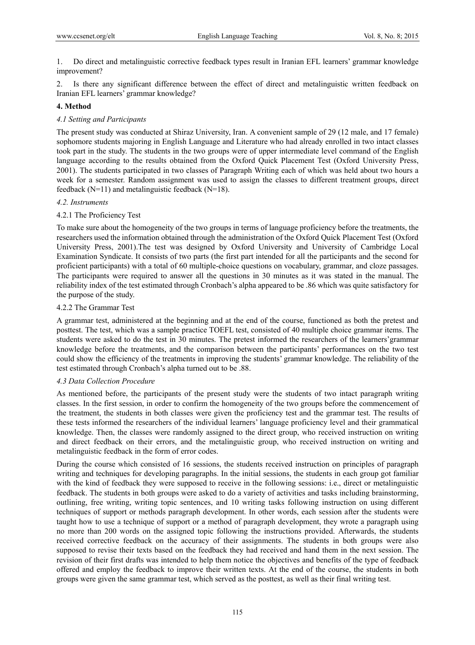1. Do direct and metalinguistic corrective feedback types result in Iranian EFL learners' grammar knowledge improvement?

2. Is there any significant difference between the effect of direct and metalinguistic written feedback on Iranian EFL learners' grammar knowledge?

#### **4. Method**

#### *4.1 Setting and Participants*

The present study was conducted at Shiraz University, Iran. A convenient sample of 29 (12 male, and 17 female) sophomore students majoring in English Language and Literature who had already enrolled in two intact classes took part in the study. The students in the two groups were of upper intermediate level command of the English language according to the results obtained from the Oxford Quick Placement Test (Oxford University Press, 2001). The students participated in two classes of Paragraph Writing each of which was held about two hours a week for a semester. Random assignment was used to assign the classes to different treatment groups, direct feedback  $(N=11)$  and metalinguistic feedback  $(N=18)$ .

#### *4.2. Instruments*

## 4.2.1 The Proficiency Test

To make sure about the homogeneity of the two groups in terms of language proficiency before the treatments, the researchers used the information obtained through the administration of the Oxford Quick Placement Test (Oxford University Press, 2001).The test was designed by Oxford University and University of Cambridge Local Examination Syndicate. It consists of two parts (the first part intended for all the participants and the second for proficient participants) with a total of 60 multiple-choice questions on vocabulary, grammar, and cloze passages. The participants were required to answer all the questions in 30 minutes as it was stated in the manual. The reliability index of the test estimated through Cronbach's alpha appeared to be .86 which was quite satisfactory for the purpose of the study.

#### 4.2.2 The Grammar Test

A grammar test, administered at the beginning and at the end of the course, functioned as both the pretest and posttest. The test, which was a sample practice TOEFL test, consisted of 40 multiple choice grammar items. The students were asked to do the test in 30 minutes. The pretest informed the researchers of the learners'grammar knowledge before the treatments, and the comparison between the participants' performances on the two test could show the efficiency of the treatments in improving the students' grammar knowledge. The reliability of the test estimated through Cronbach's alpha turned out to be .88.

## *4.3 Data Collection Procedure*

As mentioned before, the participants of the present study were the students of two intact paragraph writing classes. In the first session, in order to confirm the homogeneity of the two groups before the commencement of the treatment, the students in both classes were given the proficiency test and the grammar test. The results of these tests informed the researchers of the individual learners' language proficiency level and their grammatical knowledge. Then, the classes were randomly assigned to the direct group, who received instruction on writing and direct feedback on their errors, and the metalinguistic group, who received instruction on writing and metalinguistic feedback in the form of error codes.

During the course which consisted of 16 sessions, the students received instruction on principles of paragraph writing and techniques for developing paragraphs. In the initial sessions, the students in each group got familiar with the kind of feedback they were supposed to receive in the following sessions: i.e., direct or metalinguistic feedback. The students in both groups were asked to do a variety of activities and tasks including brainstorming, outlining, free writing, writing topic sentences, and 10 writing tasks following instruction on using different techniques of support or methods paragraph development. In other words, each session after the students were taught how to use a technique of support or a method of paragraph development, they wrote a paragraph using no more than 200 words on the assigned topic following the instructions provided. Afterwards, the students received corrective feedback on the accuracy of their assignments. The students in both groups were also supposed to revise their texts based on the feedback they had received and hand them in the next session. The revision of their first drafts was intended to help them notice the objectives and benefits of the type of feedback offered and employ the feedback to improve their written texts. At the end of the course, the students in both groups were given the same grammar test, which served as the posttest, as well as their final writing test.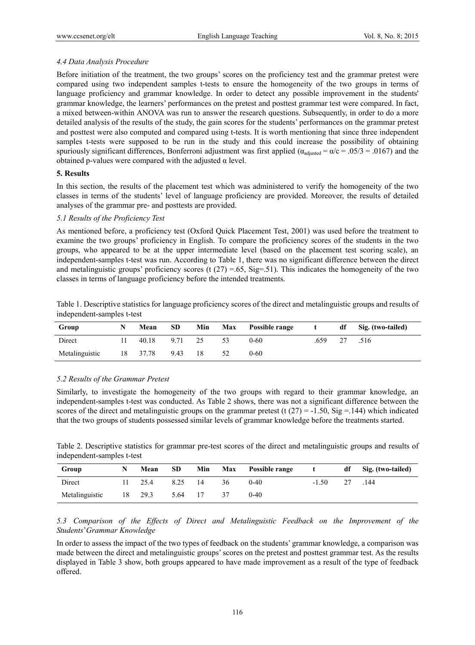#### *4.4 Data Analysis Procedure*

Before initiation of the treatment, the two groups' scores on the proficiency test and the grammar pretest were compared using two independent samples t-tests to ensure the homogeneity of the two groups in terms of language proficiency and grammar knowledge. In order to detect any possible improvement in the students' grammar knowledge, the learners' performances on the pretest and posttest grammar test were compared. In fact, a mixed between-within ANOVA was run to answer the research questions. Subsequently, in order to do a more detailed analysis of the results of the study, the gain scores for the students' performances on the grammar pretest and posttest were also computed and compared using t-tests. It is worth mentioning that since three independent samples t-tests were supposed to be run in the study and this could increase the possibility of obtaining spuriously significant differences, Bonferroni adjustment was first applied ( $\alpha_{\text{adiusted}} = \alpha/c = .05/3 = .0167$ ) and the obtained p-values were compared with the adjusted α level.

#### **5. Results**

In this section, the results of the placement test which was administered to verify the homogeneity of the two classes in terms of the students' level of language proficiency are provided. Moreover, the results of detailed analyses of the grammar pre- and posttests are provided.

## *5.1 Results of the Proficiency Test*

As mentioned before, a proficiency test (Oxford Quick Placement Test, 2001) was used before the treatment to examine the two groups' proficiency in English. To compare the proficiency scores of the students in the two groups, who appeared to be at the upper intermediate level (based on the placement test scoring scale), an independent-samples t-test was run. According to Table 1, there was no significant difference between the direct and metalinguistic groups' proficiency scores (t  $(27) = 65$ ,  $Sig = 51$ ). This indicates the homogeneity of the two classes in terms of language proficiency before the intended treatments.

|                            | Table 1. Descriptive statistics for language proficiency scores of the direct and metalinguistic groups and results of |
|----------------------------|------------------------------------------------------------------------------------------------------------------------|
| independent-samples t-test |                                                                                                                        |

| Group          |    | Mean  | SD   | Min | Max | Possible range |      | df | Sig. (two-tailed) |
|----------------|----|-------|------|-----|-----|----------------|------|----|-------------------|
| Direct         |    | 40.18 | 9.71 | 25  |     | $0 - 60$       | .659 | 27 | .516              |
| Metalinguistic | 18 | 37.78 | 9.43 | 18  |     | $0 - 60$       |      |    |                   |

## *5.2 Results of the Grammar Pretest*

Similarly, to investigate the homogeneity of the two groups with regard to their grammar knowledge, an independent-samples t-test was conducted. As Table 2 shows, there was not a significant difference between the scores of the direct and metalinguistic groups on the grammar pretest (t  $(27) = -1.50$ , Sig = 1.44) which indicated that the two groups of students possessed similar levels of grammar knowledge before the treatments started.

Table 2. Descriptive statistics for grammar pre-test scores of the direct and metalinguistic groups and results of independent-samples t-test

| Group          |    | Mean | <b>SD</b> | Min  | Max | Possible range |         | df | Sig. (two-tailed) |
|----------------|----|------|-----------|------|-----|----------------|---------|----|-------------------|
| Direct         |    | 25.4 | 8.25      | 14   | 36  | $0 - 40$       | $-1.50$ | 27 | .144              |
| Metalinguistic | 18 | 29.3 | 5.64      | - 17 |     | $0 - 40$       |         |    |                   |

*5.3 Comparison of the Effects of Direct and Metalinguistic Feedback on the Improvement of the Students*'*Grammar Knowledge* 

In order to assess the impact of the two types of feedback on the students' grammar knowledge, a comparison was made between the direct and metalinguistic groups' scores on the pretest and posttest grammar test. As the results displayed in Table 3 show, both groups appeared to have made improvement as a result of the type of feedback offered.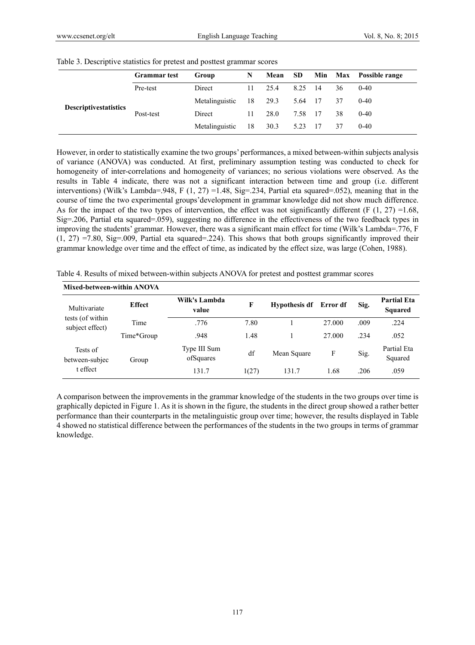|                       | <b>Grammar</b> test | Group                          | N  |      |         |    | Mean SD Min Max Possible range |
|-----------------------|---------------------|--------------------------------|----|------|---------|----|--------------------------------|
|                       | Pre-test            | Direct                         | 11 | 25.4 | 8.25 14 | 36 | $0-40$                         |
| Descriptivestatistics |                     | Metalinguistic 18 29.3         |    |      | 5.64 17 | 37 | $0 - 40$                       |
|                       | Post-test           | Direct                         | 11 | 28.0 | 7.58 17 | 38 | $0 - 40$                       |
|                       |                     | Metalinguistic 18 30.3 5.23 17 |    |      |         | 37 | $0 - 40$                       |

Table 3. Descriptive statistics for pretest and posttest grammar scores

However, in order to statistically examine the two groups' performances, a mixed between-within subjects analysis of variance (ANOVA) was conducted. At first, preliminary assumption testing was conducted to check for homogeneity of inter-correlations and homogeneity of variances; no serious violations were observed. As the results in Table 4 indicate, there was not a significant interaction between time and group (i.e. different interventions) (Wilk's Lambda=.948, F  $(1, 27)$  =1.48, Sig=.234, Partial eta squared=.052), meaning that in the course of time the two experimental groups'development in grammar knowledge did not show much difference. As for the impact of the two types of intervention, the effect was not significantly different (F  $(1, 27) = 1.68$ , Sig=.206, Partial eta squared=.059), suggesting no difference in the effectiveness of the two feedback types in improving the students' grammar. However, there was a significant main effect for time (Wilk's Lambda=.776, F  $(1, 27) = 7.80$ , Sig=.009, Partial eta squared=.224). This shows that both groups significantly improved their grammar knowledge over time and the effect of time, as indicated by the effect size, was large (Cohen, 1988).

| Table 4. Results of mixed between-within subjects ANOVA for pretest and posttest grammar scores |  |  |  |  |  |  |  |  |  |
|-------------------------------------------------------------------------------------------------|--|--|--|--|--|--|--|--|--|
|-------------------------------------------------------------------------------------------------|--|--|--|--|--|--|--|--|--|

| Mixed-between-within ANOVA             |               |                           |       |                      |          |      |                                      |
|----------------------------------------|---------------|---------------------------|-------|----------------------|----------|------|--------------------------------------|
| Multivariate                           | <b>Effect</b> | Wilk's Lambda<br>value    | F     | <b>Hypothesis df</b> | Error df | Sig. | <b>Partial Eta</b><br><b>Squared</b> |
| tests (of within<br>subject effect)    | Time          | .776                      | 7.80  |                      | 27.000   | .009 | .224                                 |
|                                        | Time*Group    | .948                      | 1.48  |                      | 27.000   | .234 | .052                                 |
| Tests of<br>between-subjec<br>t effect | Group         | Type III Sum<br>ofSquares | df    | Mean Square          | F        | Sig. | Partial Eta<br>Squared               |
|                                        |               | 131.7                     | 1(27) | 131.7                | 1.68     | .206 | .059                                 |

A comparison between the improvements in the grammar knowledge of the students in the two groups over time is graphically depicted in Figure 1. As it is shown in the figure, the students in the direct group showed a rather better performance than their counterparts in the metalinguistic group over time; however, the results displayed in Table 4 showed no statistical difference between the performances of the students in the two groups in terms of grammar knowledge.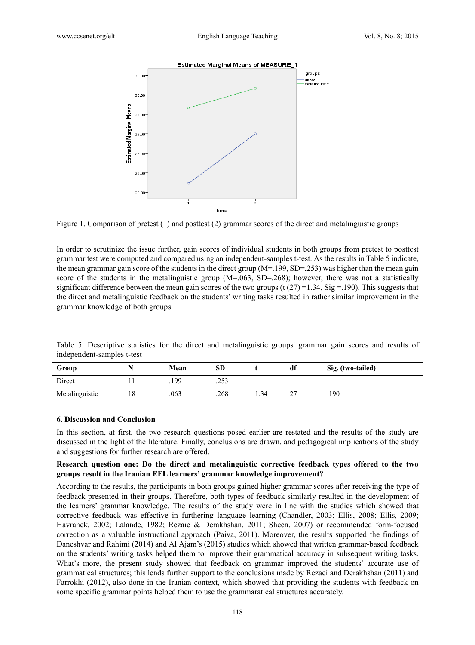

Figure 1. Comparison of pretest (1) and posttest (2) grammar scores of the direct and metalinguistic groups

In order to scrutinize the issue further, gain scores of individual students in both groups from pretest to posttest grammar test were computed and compared using an independent-samples t-test. As the results in Table 5 indicate, the mean grammar gain score of the students in the direct group  $(M=199, SD=.253)$  was higher than the mean gain score of the students in the metalinguistic group  $(M=0.063, SD=0.268)$ ; however, there was not a statistically significant difference between the mean gain scores of the two groups (t  $(27) = 1.34$ , Sig = 190). This suggests that the direct and metalinguistic feedback on the students' writing tasks resulted in rather similar improvement in the grammar knowledge of both groups.

Table 5. Descriptive statistics for the direct and metalinguistic groups' grammar gain scores and results of independent-samples t-test

| Group          |    | Mean | <b>SD</b> |     | df | Sig. (two-tailed) |
|----------------|----|------|-----------|-----|----|-------------------|
| Direct         |    | .199 | .253      |     |    |                   |
| Metalinguistic | 18 | .063 | .268      | .34 | 27 | .190              |

#### **6. Discussion and Conclusion**

In this section, at first, the two research questions posed earlier are restated and the results of the study are discussed in the light of the literature. Finally, conclusions are drawn, and pedagogical implications of the study and suggestions for further research are offered.

## **Research question one: Do the direct and metalinguistic corrective feedback types offered to the two groups result in the Iranian EFL learners' grammar knowledge improvement?**

According to the results, the participants in both groups gained higher grammar scores after receiving the type of feedback presented in their groups. Therefore, both types of feedback similarly resulted in the development of the learners' grammar knowledge. The results of the study were in line with the studies which showed that corrective feedback was effective in furthering language learning (Chandler, 2003; Ellis, 2008; Ellis, 2009; Havranek, 2002; Lalande, 1982; Rezaie & Derakhshan, 2011; Sheen, 2007) or recommended form-focused correction as a valuable instructional approach (Paiva, 2011). Moreover, the results supported the findings of Daneshvar and Rahimi (2014) and Al Ajam's (2015) studies which showed that written grammar-based feedback on the students' writing tasks helped them to improve their grammatical accuracy in subsequent writing tasks. What's more, the present study showed that feedback on grammar improved the students' accurate use of grammatical structures; this lends further support to the conclusions made by Rezaei and Derakhshan (2011) and Farrokhi (2012), also done in the Iranian context, which showed that providing the students with feedback on some specific grammar points helped them to use the grammaratical structures accurately.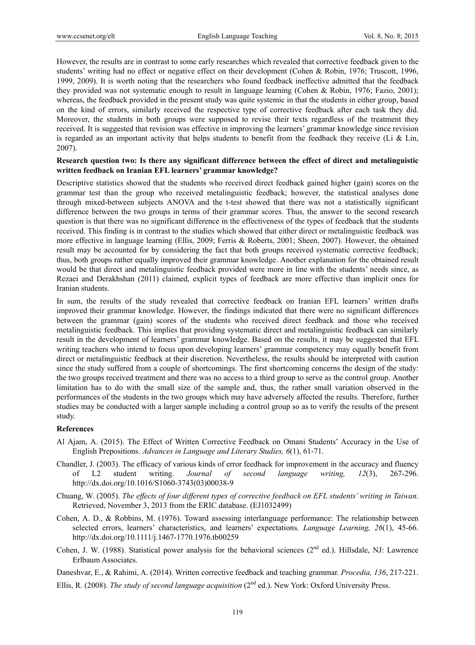However, the results are in contrast to some early researches which revealed that corrective feedback given to the students' writing had no effect or negative effect on their development (Cohen & Robin, 1976; Truscott, 1996, 1999, 2009). It is worth noting that the researchers who found feedback ineffective admitted that the feedback they provided was not systematic enough to result in language learning (Cohen & Robin, 1976; Fazio, 2001); whereas, the feedback provided in the present study was quite systemic in that the students in either group, based on the kind of errors, similarly received the respective type of corrective feedback after each task they did. Moreover, the students in both groups were supposed to revise their texts regardless of the treatment they received. It is suggested that revision was effective in improving the learners' grammar knowledge since revision is regarded as an important activity that helps students to benefit from the feedback they receive (Li  $\&$  Lin, 2007).

## **Research question two: Is there any significant difference between the effect of direct and metalinguistic written feedback on Iranian EFL learners' grammar knowledge?**

Descriptive statistics showed that the students who received direct feedback gained higher (gain) scores on the grammar test than the group who received metalinguistic feedback; however, the statistical analyses done through mixed-between subjects ANOVA and the t-test showed that there was not a statistically significant difference between the two groups in terms of their grammar scores. Thus, the answer to the second research question is that there was no significant difference in the effectiveness of the types of feedback that the students received. This finding is in contrast to the studies which showed that either direct or metalinguistic feedback was more effective in language learning (Ellis, 2009; Ferris & Roberts, 2001; Sheen, 2007). However, the obtained result may be accounted for by considering the fact that both groups received systematic corrective feedback; thus, both groups rather equally improved their grammar knowledge. Another explanation for the obtained result would be that direct and metalinguistic feedback provided were more in line with the students' needs since, as Rezaei and Derakhshan (2011) claimed, explicit types of feedback are more effective than implicit ones for Iranian students.

In sum, the results of the study revealed that corrective feedback on Iranian EFL learners' written drafts improved their grammar knowledge. However, the findings indicated that there were no significant differences between the grammar (gain) scores of the students who received direct feedback and those who received metalinguistic feedback. This implies that providing systematic direct and metalinguistic feedback can similarly result in the development of learners' grammar knowledge. Based on the results, it may be suggested that EFL writing teachers who intend to focus upon developing learners' grammar competency may equally benefit from direct or metalinguistic feedback at their discretion. Nevertheless, the results should be interpreted with caution since the study suffered from a couple of shortcomings. The first shortcoming concerns the design of the study: the two groups received treatment and there was no access to a third group to serve as the control group. Another limitation has to do with the small size of the sample and, thus, the rather small variation observed in the performances of the students in the two groups which may have adversely affected the results. Therefore, further studies may be conducted with a larger sample including a control group so as to verify the results of the present study.

#### **References**

- Al Ajam, A. (2015). The Effect of Written Corrective Feedback on Omani Students' Accuracy in the Use of English Prepositions. *Advances in Language and Literary Studies, 6*(1), 61-71.
- Chandler, J. (2003). The efficacy of various kinds of error feedback for improvement in the accuracy and fluency of L2 student writing. *Journal of second language writing, 12*(3), 267-296. http://dx.doi.org/10.1016/S1060-3743(03)00038-9
- Chuang, W. (2005). *The effects of four different types of corrective feedback on EFL students' writing in Taiwan*. Retrieved, November 3, 2013 from the ERIC database. (EJ1032499)
- Cohen, A. D., & Robbins, M. (1976). Toward assessing interlanguage performance: The relationship between selected errors, learners' characteristics, and learners' expectations. *Language Learning, 26*(1), 45-66. http://dx.doi.org/10.1111/j.1467-1770.1976.tb00259
- Cohen, J. W. (1988). Statistical power analysis for the behavioral sciences (2<sup>nd</sup> ed.). Hillsdale, NJ: Lawrence Erlbaum Associates.

Daneshvar, E., & Rahimi, A. (2014). Written corrective feedback and teaching grammar. *Procedia, 136*, 217-221.

Ellis, R. (2008). *The study of second language acquisition* (2<sup>nd</sup> ed.). New York: Oxford University Press.